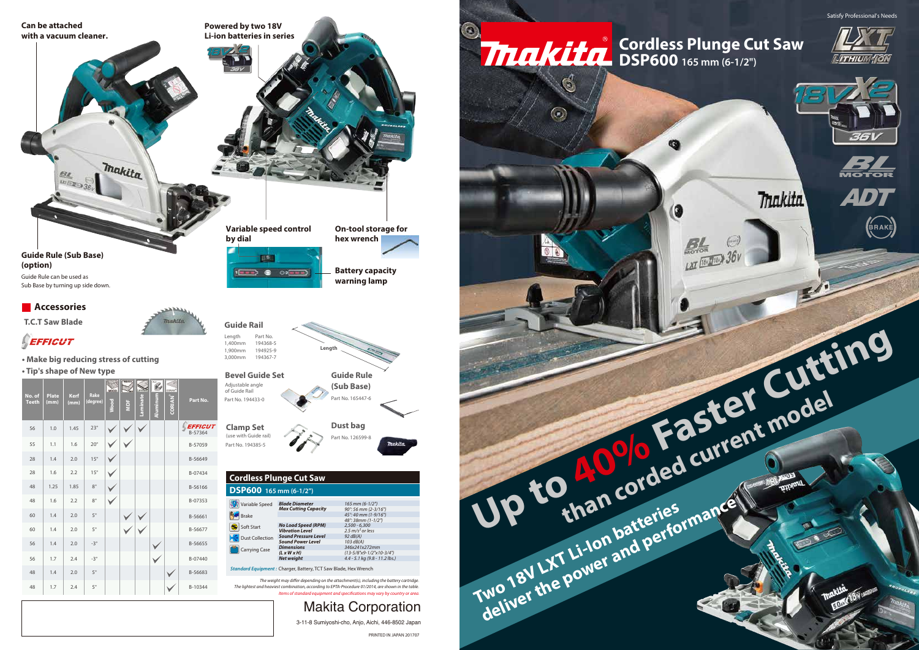**Up to 40% Faster Cutting than corded current model**

LXT [18, 1718)

Œ

**Two 18V LXT Li-Ion batteries**<br>Two 18V LXT Li-Ion batteries<br>deliver the power and performance











### **DSP600 165 mm (6-1/2") Cordless Plunge Cut Saw**

Trakita

Items of standard equipment and specifications may vary by country or area. The weight may differ depending on the attachment(s), including the battery cartridge.<br>The lightest and beaviest combination, according to FPTA-Procedure 01/2014, are shown in the table *The lightest and heaviest combination, according to EPTA-Procedure 01/2014, are shown in the table.*

Satisfy Professional's Needs

Standard Equipment : Charger, Battery, TCT Saw Blade, Hex Wrench *Net weight 4.4 - 5.1 kg (9.8 - 11.2 lbs.)*

*Sound Power Level Dimensions (L x W x H)*

Carrying Case



*103 dB(A) 346x241x272mm (13-5/8"x9-1/2"x10-3/4")*



Makita Corporation 3-11-8 Sumiyoshi-cho, Anjo, Aichi, 446-8502 Japan

PRINTED IN JAPAN 201707

 $\bullet$ 

 $\mathfrak{G}% _{A}^{\ast}=\mathfrak{G}_{A}\!\!\left( a,b\right) ,\qquad\mathfrak{G}_{A}\!\!\left( a,b\right)$ 

 $\odot$ 

| 56 | 1.0  | 1.45 | $23^\circ$   |  |  | <b>EFFICUT</b><br>B-57364 |
|----|------|------|--------------|--|--|---------------------------|
| 55 | 1.1  | 1.6  | $20^{\circ}$ |  |  | B-57059                   |
| 28 | 1.4  | 2.0  | $15^{\circ}$ |  |  | B-56649                   |
| 28 | 1.6  | 2.2  | $15^{\circ}$ |  |  | B-07434                   |
| 48 | 1.25 | 1.85 | $8^{\circ}$  |  |  | B-56166                   |
| 48 | 1.6  | 2.2  | $8^{\circ}$  |  |  | B-07353                   |
| 60 | 1.4  | 2.0  | $5^{\circ}$  |  |  | B-56661                   |
| 60 | 1.4  | 2.0  | $5^{\circ}$  |  |  | B-56677                   |
| 56 | 1.4  | 2.0  | $-3^\circ$   |  |  | B-56655                   |
| 56 | 1.7  | 2.4  | $-3^\circ$   |  |  | B-07440                   |
| 48 | 1.4  | 2.0  | $5^\circ$    |  |  | B-56683                   |
| 48 | 1.7  | 2.4  | $5^{\circ}$  |  |  | B-10344                   |
|    |      |      |              |  |  |                           |